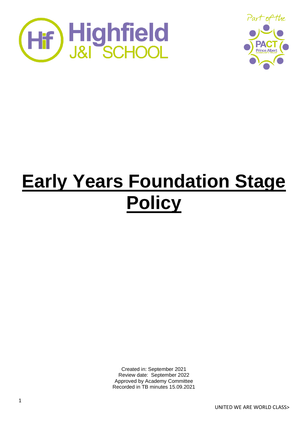



# **Early Years Foundation Stage Policy**

Created in: September 2021 Review date: September 2022 Approved by Academy Committee Recorded in TB minutes 15.09.2021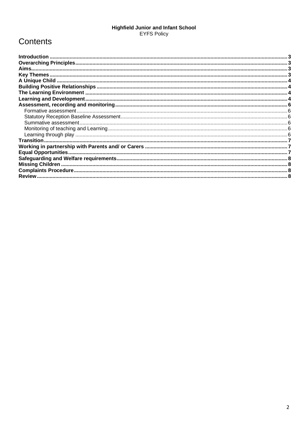## Highfield Junior and Infant School<br>EYFS Policy

## Contents

| <b>Introduction</b> |  |
|---------------------|--|
|                     |  |
|                     |  |
|                     |  |
|                     |  |
|                     |  |
|                     |  |
|                     |  |
|                     |  |
|                     |  |
|                     |  |
|                     |  |
|                     |  |
|                     |  |
|                     |  |
|                     |  |
|                     |  |
|                     |  |
|                     |  |
|                     |  |
|                     |  |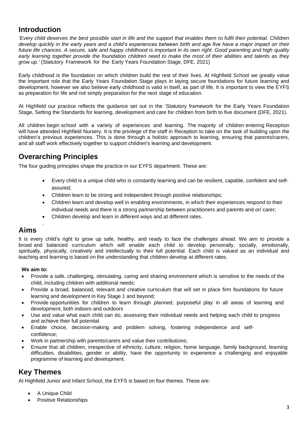## <span id="page-2-0"></span>**Introduction**

*'Every child deserves the best possible start in life and the support that enables them to fulfil their potential. Children develop quickly in the early years and a child's experiences between birth and age five have a major impact on their future life chances. A secure, safe and happy childhood is important in its own right. Good parenting and high quality early learning together provide the foundation children need to make the most of their abilities and talents as they grow up.'* (Statutory Framework for the Early Years Foundation Stage, DFE, 2021)

Early childhood is the foundation on which children build the rest of their lives. At Highfield School we greatly value the important role that the Early Years Foundation Stage plays in laying secure foundations for future learning and development, however we also believe early childhood is valid in itself, as part of life. It is important to view the EYFS as preparation for life and not simply preparation for the next stage of education.

At Highfield our practice reflects the guidance set out in the 'Statutory framework for the Early Years Foundation Stage, Setting the Standards for learning, development and care for children from birth to five document (DFE, 2021).

All children begin school with a variety of experiences and learning. The majority of children entering Reception will have attended Highfield Nursery. It is the privilege of the staff in Reception to take on the task of building upon the children's previous experiences. This is done through a holistic approach to learning, ensuring that parents/carers, and all staff work effectively together to support children's learning and development.

## <span id="page-2-1"></span>**Overarching Principles**

The four guiding principles shape the practice in our EYFS department. These are:

- Every child is a unique child who is constantly learning and can be resilient, capable, confident and selfassured;
- Children learn to be strong and independent through positive relationships;
- Children learn and develop well in enabling environments, in which their experiences respond to their individual needs and there is a strong partnership between practitioners and parents and or/ carer;
- Children develop and learn in different ways and at different rates.

## <span id="page-2-2"></span>**Aims**

.

It is every child's right to grow up safe, healthy, and ready to face the challenges ahead. We aim to provide a broad and balanced curriculum which will enable each child to develop personally, socially, emotionally, spiritually, physically, creatively and intellectually to their full potential. Each child is valued as an individual and teaching and learning is based on the understanding that children develop at different rates.

#### **We aim to:**

- Provide a safe, challenging, stimulating, caring and sharing environment which is sensitive to the needs of the child, including children with additional needs;
- Provide a broad, balanced, relevant and creative curriculum that will set in place firm foundations for future learning and development in Key Stage 1 and beyond;
- Provide opportunities for children to learn through planned, purposeful play in all areas of learning and development, both indoors and outdoors
- Use and value what each child can do, assessing their individual needs and helping each child to progress and achieve their full potential.
- Enable choice, decision-making and problem solving, fostering independence and selfconfidence;
- Work in partnership with parents/carers and value their contributions;
- Ensure that all children, irrespective of ethnicity, culture, religion, home language, family background, learning difficulties, disabilities, gender or ability, have the opportunity to experience a challenging and enjoyable programme of learning and development.

## <span id="page-2-3"></span>**Key Themes**

At Highfield Junior and Infant School, the EYFS is based on four themes. These are:

- A Unique Child
- Positive Relationships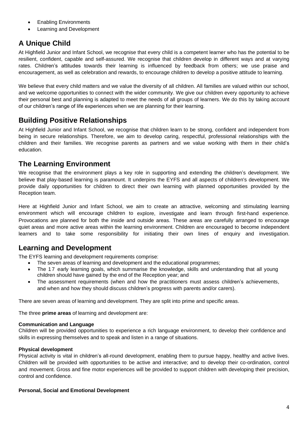- Enabling Environments
- Learning and Development

## <span id="page-3-0"></span>**A Unique Child**

At Highfield Junior and Infant School, we recognise that every child is a competent learner who has the potential to be resilient, confident, capable and self-assured. We recognise that children develop in different ways and at varying rates. Children's attitudes towards their learning is influenced by feedback from others; we use praise and encouragement, as well as celebration and rewards, to encourage children to develop a positive attitude to learning.

We believe that every child matters and we value the diversity of all children. All families are valued within our school, and we welcome opportunities to connect with the wider community. We give our children every opportunity to achieve their personal best and planning is adapted to meet the needs of all groups of learners. We do this by taking account of our children's range of life experiences when we are planning for their learning.

## <span id="page-3-1"></span>**Building Positive Relationships**

At Highfield Junior and Infant School, we recognise that children learn to be strong, confident and independent from being in secure relationships. Therefore, we aim to develop caring, respectful, professional relationships with the children and their families. We recognise parents as partners and we value working with them in their child's education.

## <span id="page-3-2"></span>**The Learning Environment**

We recognise that the environment plays a key role in supporting and extending the children's development. We believe that play-based learning is paramount. It underpins the EYFS and all aspects of children's development. We provide daily opportunities for children to direct their own learning with planned opportunities provided by the Reception team.

Here at Highfield Junior and Infant School, we aim to create an attractive, welcoming and stimulating learning environment which will encourage children to explore, investigate and learn through first-hand experience. Provocations are planned for both the inside and outside areas. These areas are carefully arranged to encourage quiet areas and more active areas within the learning environment. Children are encouraged to become independent learners and to take some responsibility for initiating their own lines of enquiry and investigation.

## <span id="page-3-3"></span>**Learning and Development**

The EYFS learning and development requirements comprise:

- The seven areas of learning and development and the educational programmes;
- The 17 early learning goals, which summarise the knowledge, skills and understanding that all young children should have gained by the end of the Reception year; and
- The assessment requirements (when and how the practitioners must assess children's achievements, and when and how they should discuss children's progress with parents and/or carers).

There are seven areas of learning and development. They are split into prime and specific areas.

The three **prime areas** of learning and development are:

#### **Communication and Language**

Children will be provided opportunities to experience a rich language environment, to develop their confidence and skills in expressing themselves and to speak and listen in a range of situations.

#### **Physical development**

Physical activity is vital in children's all-round development, enabling them to pursue happy, healthy and active lives. Children will be provided with opportunities to be active and interactive; and to develop their co-ordination, control and movement. Gross and fine motor experiences will be provided to support children with developing their precision, control and confidence.

#### **Personal, Social and Emotional Development**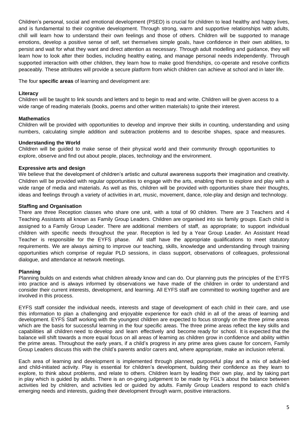Children's personal, social and emotional development (PSED) is crucial for children to lead healthy and happy lives, and is fundamental to their cognitive development. Through strong, warm and supportive relationships with adults, chill will learn how to understand their own feelings and those of others. Children will be supported to manage emotions, develop a positive sense of self, set themselves simple goals, have confidence in their own abilities, to persist and wait for what they want and direct attention as necessary. Through adult modelling and guidance, they will learn how to look after their bodies, including healthy eating, and manage personal needs independently. Through supported interaction with other children, they learn how to make good friendships, co-operate and resolve conflicts peaceably. These attributes will provide a secure platform from which children can achieve at school and in later life.

The four **specific areas** of learning and development are:

#### **Literacy**

Children will be taught to link sounds and letters and to begin to read and write. Children will be given access to a wide range of reading materials (books, poems and other written materials) to ignite their interest.

#### **Mathematics**

Children will be provided with opportunities to develop and improve their skills in counting, understanding and using numbers, calculating simple addition and subtraction problems and to describe shapes, space and measures.

#### **Understanding the World**

Children will be guided to make sense of their physical world and their community through opportunities to explore, observe and find out about people, places, technology and the environment.

#### **Expressive arts and design**

We believe that the development of children's artistic and cultural awareness supports their imagination and creativity. Children will be provided with regular opportunities to engage with the arts, enabling them to explore and play with a wide range of media and materials. As well as this, children will be provided with opportunities share their thoughts, ideas and feelings through a variety of activities in art, music, movement, dance, role-play and design and technology.

#### **Staffing and Organisation**

There are three Reception classes who share one unit, with a total of 90 children. There are 3 Teachers and 4 Teaching Assistants all known as Family Group Leaders. Children are organised into six family groups. Each child is assigned to a Family Group Leader. There are additional members of staff, as appropriate; to support individual children with specific needs throughout the year. Reception is led by a Year Group Leader. An Assistant Head Teacher is responsible for the EYFS phase. All staff have the appropriate qualifications to meet statutory requirements. We are always aiming to improve our teaching, skills, knowledge and understanding through training opportunities which comprise of regular PLD sessions, in class support, observations of colleagues, professional dialogue, and attendance at network meetings.

#### **Planning**

Planning builds on and extends what children already know and can do. Our planning puts the principles of the EYFS into practice and is always informed by observations we have made of the children in order to understand and consider their current interests, development, and learning. All EYFS staff are committed to working together and are involved in this process.

EYFS staff consider the individual needs, interests and stage of development of each child in their care, and use this information to plan a challenging and enjoyable experience for each child in all of the areas of learning and development. EYFS Staff working with the youngest children are expected to focus strongly on the three prime areas which are the basis for successful learning in the four specific areas. The three prime areas reflect the key skills and capabilities all children need to develop and learn effectively and become ready for school. It is expected that the balance will shift towards a more equal focus on all areas of learning as children grow in confidence and ability within the prime areas. Throughout the early years, if a child's progress in any prime area gives cause for concern, Family Group Leaders discuss this with the child's parents and/or carers and, where appropriate, make an inclusion referral.

Each area of learning and development is implemented through planned, purposeful play and a mix of adult-led and child-initiated activity. Play is essential for children's development, building their confidence as they learn to explore, to think about problems, and relate to others. Children learn by leading their own play, and by taking part in play which is guided by adults. There is an on-going judgement to be made by FGL's about the balance between activities led by children, and activities led or guided by adults. Family Group Leaders respond to each child's emerging needs and interests, guiding their development through warm, positive interactions.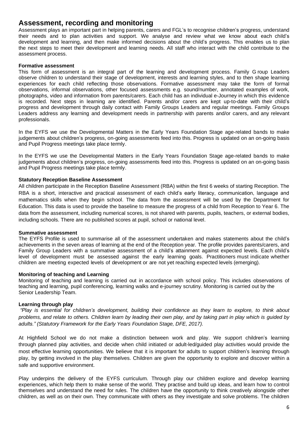## <span id="page-5-0"></span>**Assessment, recording and monitoring**

Assessment plays an important part in helping parents, carers and FGL's to recognise children's progress, understand their needs and to plan activities and support. We analyse and review what we know about each child's development and learning, and then make informed decisions about the child's progress. This enables us to plan the next steps to meet their development and learning needs. All staff who interact with the child contribute to the assessment process.

#### <span id="page-5-1"></span>**Formative assessment**

This form of assessment is an integral part of the learning and development process. Family G roup Leaders observe children to understand their stage of development, interests and learning styles, and to then shape learning experiences for each child reflecting those observations. Formative assessment may take the form of formal observations, informal observations, other focused assessments e.g. sound/number, annotated examples of work, photographs, video and information from parents/carers. Each child has an individual e-Journey in which this evidence is recorded. Next steps in learning are identified. Parents and/or carers are kept up-to-date with their child's progress and development through daily contact with Family Groups Leaders and regular meetings. Family Groups Leaders address any learning and development needs in partnership with parents and/or carers, and any relevant professionals.

In the EYFS we use the Developmental Matters in the Early Years Foundation Stage age-related bands to make judgements about children's progress, on-going assessments feed into this. Progress is updated on an on-going basis and Pupil Progress meetings take place termly.

In the EYFS we use the Developmental Matters in the Early Years Foundation Stage age-related bands to make judgements about children's progress, on-going assessments feed into this. Progress is updated on an on-going basis and Pupil Progress meetings take place termly.

#### <span id="page-5-2"></span>**Statutory Reception Baseline Assessment**

All children participate in the Reception Baseline Assessment (RBA) within the first 6 weeks of starting Reception. The RBA is a short, interactive and practical assessment of each child's early literacy, communication, language and mathematics skills when they begin school. The data from the assessment will be used by the Department for Education. This data is used to provide the baseline to measure the progress of a child from Reception to Year 6. The data from the assessment, including numerical scores, is not shared with parents, pupils, teachers, or external bodies, including schools. There are no published scores at pupil, school or national level.

#### <span id="page-5-3"></span>**Summative assessment**

The EYFS Profile is used to summarise all of the assessment undertaken and makes statements about the child's achievements in the seven areas of learning at the end of the Reception year. The profile provides parents/carers, and Family Group Leaders with a summative assessment of a child's attainment against expected levels. Each child's level of development must be assessed against the early learning goals. Practitioners must indicate whether children are meeting expected levels of development or are not yet reaching expected levels (emerging).

#### <span id="page-5-4"></span>**Monitoring of teaching and Learning**

Monitoring of teaching and learning is carried out in accordance with school policy. This includes observations of teaching and learning, pupil conferencing, learning walks and e-journey scrutiny. Monitoring is carried out by the Senior Leadership Team.

#### <span id="page-5-5"></span>**Learning through play**

*"Play is essential for children's development, building their confidence as they learn to explore, to think about problems, and relate to others. Children learn by leading their own play, and by taking part in play which is guided by adults." (Statutory Framework for the Early Years Foundation Stage, DFE, 2017).*

At Highfield School we do not make a distinction between work and play. We support children's learning through planned play activities, and decide when child initiated or adult-led/guided play activities would provide the most effective learning opportunities. We believe that it is important for adults to support children's learning through play, by getting involved in the play themselves. Children are given the opportunity to explore and discover within a safe and supportive environment.

Play underpins the delivery of the EYFS curriculum. Through play our children explore and develop learning experiences, which help them to make sense of the world. They practise and build up ideas, and learn how to control themselves and understand the need for rules. The children have the opportunity to think creatively alongside other children, as well as on their own. They communicate with others as they investigate and solve problems. The children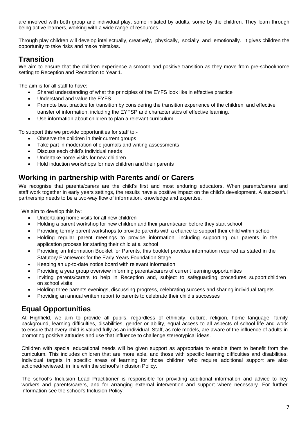are involved with both group and individual play, some initiated by adults, some by the children. They learn through being active learners, working with a wide range of resources.

Through play children will develop intellectually, creatively, physically, socially and emotionally. It gives children the opportunity to take risks and make mistakes.

## <span id="page-6-0"></span>**Transition**

We aim to ensure that the children experience a smooth and positive transition as they move from pre-school/home setting to Reception and Reception to Year 1.

The aim is for all staff to have:-

- Shared understanding of what the principles of the EYFS look like in effective practice
- Understand and value the EYFS
- Promote best practice for transition by considering the transition experience of the children and effective transfer of information, including the EYFSP and characteristics of effective learning.
- Use information about children to plan a relevant curriculum

To support this we provide opportunities for staff to:-

- Observe the children in their current groups
- Take part in moderation of e-journals and writing assessments
- Discuss each child's individual needs
- Undertake home visits for new children
- Hold induction workshops for new children and their parents

## <span id="page-6-1"></span>**Working in partnership with Parents and/ or Carers**

We recognise that parents/carers are the child's first and most enduring educators. When parents/carers and staff work together in early years settings, the results have a positive impact on the child's development. A successful partnership needs to be a two-way flow of information, knowledge and expertise.

We aim to develop this by:

- Undertaking home visits for all new children
- Holding a parent workshop for new children and their parent/carer before they start school
- Providing termly parent workshops to provide parents with a chance to support their child within school
- Holding regular parent meetings to provide information, including supporting our parents in the application process for starting their child at a school
- Providing an Information Booklet for Parents, this booklet provides information required as stated in the Statutory Framework for the Early Years Foundation Stage
- Keeping an up-to-date notice board with relevant information
- Providing a year group overview informing parents/carers of current learning opportunities
- Inviting parents/carers to help in Reception and, subject to safeguarding procedures, support children on school visits
- Holding three parents evenings, discussing progress, celebrating success and sharing individual targets
- Providing an annual written report to parents to celebrate their child's successes

## <span id="page-6-2"></span> **Equal Opportunities**

At Highfield, we aim to provide all pupils, regardless of ethnicity, culture, religion, home language, family background, learning difficulties, disabilities, gender or ability, equal access to all aspects of school life and work to ensure that every child is valued fully as an individual. Staff, as role models, are aware of the influence of adults in promoting positive attitudes and use that influence to challenge stereotypical ideas.

Children with special educational needs will be given support as appropriate to enable them to benefit from the curriculum. This includes children that are more able, and those with specific learning difficulties and disabilities. Individual targets in specific areas of learning for those children who require additional support are also actioned/reviewed, in line with the school's Inclusion Policy.

The school's Inclusion Lead Practitioner is responsible for providing additional information and advice to key workers and parents/carers, and for arranging external intervention and support where necessary. For further information see the school's Inclusion Policy.